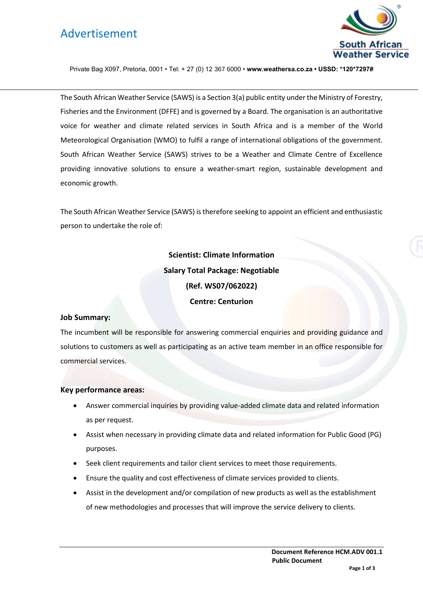# Advertisement



Private Bag X097, Pretoria, 0001 • Tel: + 27 (0) 12 367 6000 • **www.weathersa.co.za • USSD: \*120\*7297#**

The South African Weather Service (SAWS) is a Section 3(a) public entity under the Ministry of Forestry, Fisheries and the Environment (DFFE) and is governed by a Board. The organisation is an authoritative voice for weather and climate related services in South Africa and is a member of the World Meteorological Organisation (WMO) to fulfil a range of international obligations of the government. South African Weather Service (SAWS) strives to be a Weather and Climate Centre of Excellence providing innovative solutions to ensure a weather-smart region, sustainable development and economic growth.

The South African Weather Service (SAWS) is therefore seeking to appoint an efficient and enthusiastic person to undertake the role of:

> **Scientist: Climate Information Salary Total Package: Negotiable (Ref. WS07/062022) Centre: Centurion**

### **Job Summary:**

The incumbent will be responsible for answering commercial enquiries and providing guidance and solutions to customers as well as participating as an active team member in an office responsible for commercial services.

#### **Key performance areas:**

- Answer commercial inquiries by providing value-added climate data and related information as per request.
- Assist when necessary in providing climate data and related information for Public Good (PG) purposes.
- Seek client requirements and tailor client services to meet those requirements.
- Ensure the quality and cost effectiveness of climate services provided to clients.
- Assist in the development and/or compilation of new products as well as the establishment of new methodologies and processes that will improve the service delivery to clients.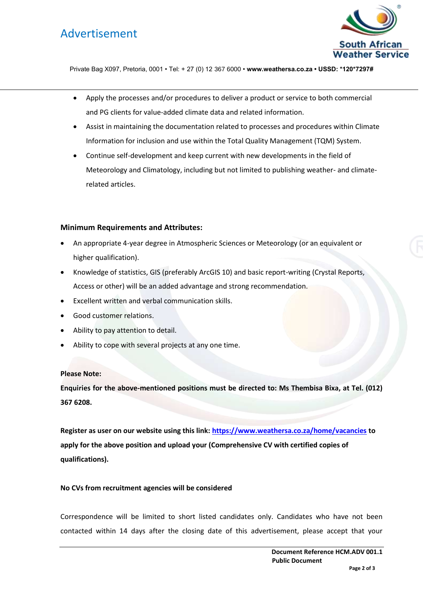# Advertisement



Private Bag X097, Pretoria, 0001 • Tel: + 27 (0) 12 367 6000 • **www.weathersa.co.za • USSD: \*120\*7297#**

- Apply the processes and/or procedures to deliver a product or service to both commercial and PG clients for value-added climate data and related information.
- Assist in maintaining the documentation related to processes and procedures within Climate Information for inclusion and use within the Total Quality Management (TQM) System.
- Continue self-development and keep current with new developments in the field of Meteorology and Climatology, including but not limited to publishing weather- and climaterelated articles.

### **Minimum Requirements and Attributes:**

- An appropriate 4-year degree in Atmospheric Sciences or Meteorology (or an equivalent or higher qualification).
- Knowledge of statistics, GIS (preferably ArcGIS 10) and basic report-writing (Crystal Reports, Access or other) will be an added advantage and strong recommendation.
- Excellent written and verbal communication skills.
- Good customer relations.
- Ability to pay attention to detail.
- Ability to cope with several projects at any one time.

### **Please Note:**

**Enquiries for the above-mentioned positions must be directed to: Ms Thembisa Bixa, at Tel. (012) 367 6208.** 

**Register as user on our website using this link:<https://www.weathersa.co.za/home/vacancies> to apply for the above position and upload your (Comprehensive CV with certified copies of qualifications).** 

#### **No CVs from recruitment agencies will be considered**

Correspondence will be limited to short listed candidates only. Candidates who have not been contacted within 14 days after the closing date of this advertisement, please accept that your